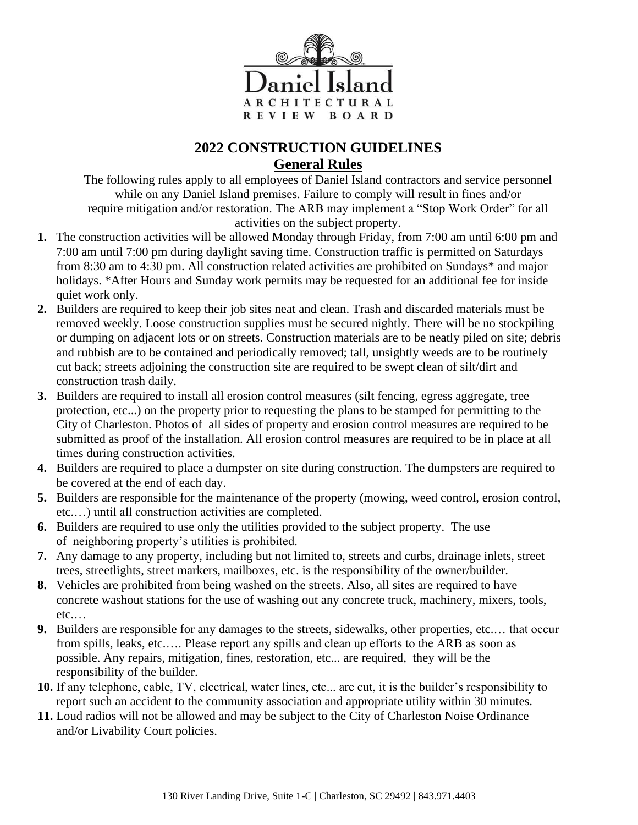

## **2022 CONSTRUCTION GUIDELINES General Rules**

The following rules apply to all employees of Daniel Island contractors and service personnel while on any Daniel Island premises. Failure to comply will result in fines and/or require mitigation and/or restoration. The ARB may implement a "Stop Work Order" for all activities on the subject property.

- **1.** The construction activities will be allowed Monday through Friday, from 7:00 am until 6:00 pm and 7:00 am until 7:00 pm during daylight saving time. Construction traffic is permitted on Saturdays from 8:30 am to 4:30 pm. All construction related activities are prohibited on Sundays\* and major holidays. \*After Hours and Sunday work permits may be requested for an additional fee for inside quiet work only.
- **2.** Builders are required to keep their job sites neat and clean. Trash and discarded materials must be removed weekly. Loose construction supplies must be secured nightly. There will be no stockpiling or dumping on adjacent lots or on streets. Construction materials are to be neatly piled on site; debris and rubbish are to be contained and periodically removed; tall, unsightly weeds are to be routinely cut back; streets adjoining the construction site are required to be swept clean of silt/dirt and construction trash daily.
- **3.** Builders are required to install all erosion control measures (silt fencing, egress aggregate, tree protection, etc...) on the property prior to requesting the plans to be stamped for permitting to the City of Charleston. Photos of all sides of property and erosion control measures are required to be submitted as proof of the installation. All erosion control measures are required to be in place at all times during construction activities.
- **4.** Builders are required to place a dumpster on site during construction. The dumpsters are required to be covered at the end of each day.
- **5.** Builders are responsible for the maintenance of the property (mowing, weed control, erosion control, etc.…) until all construction activities are completed.
- **6.** Builders are required to use only the utilities provided to the subject property. The use of neighboring property's utilities is prohibited.
- **7.** Any damage to any property, including but not limited to, streets and curbs, drainage inlets, street trees, streetlights, street markers, mailboxes, etc. is the responsibility of the owner/builder.
- **8.** Vehicles are prohibited from being washed on the streets. Also, all sites are required to have concrete washout stations for the use of washing out any concrete truck, machinery, mixers, tools, etc.…
- **9.** Builders are responsible for any damages to the streets, sidewalks, other properties, etc.… that occur from spills, leaks, etc.…. Please report any spills and clean up efforts to the ARB as soon as possible. Any repairs, mitigation, fines, restoration, etc... are required, they will be the responsibility of the builder.
- **10.** If any telephone, cable, TV, electrical, water lines, etc... are cut, it is the builder's responsibility to report such an accident to the community association and appropriate utility within 30 minutes.
- **11.** Loud radios will not be allowed and may be subject to the City of Charleston Noise Ordinance and/or Livability Court policies.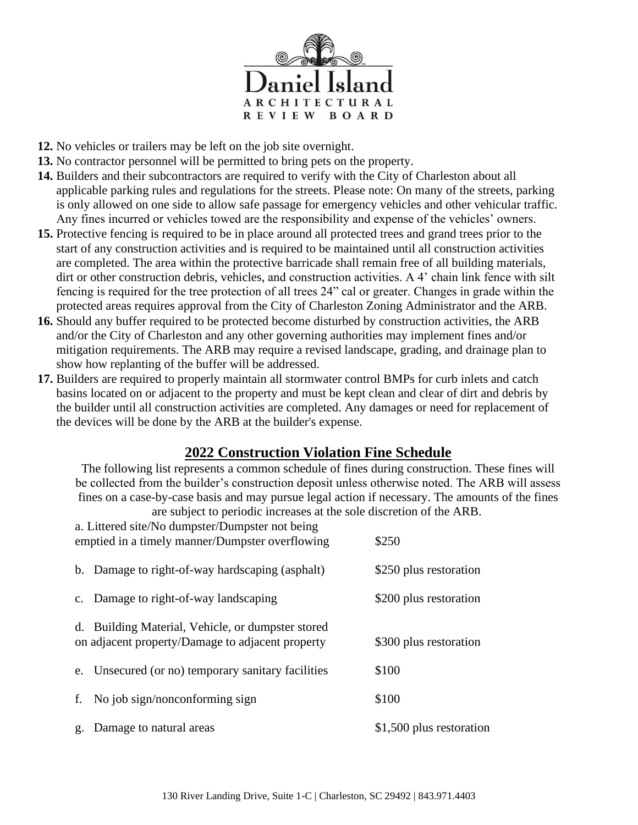

- **12.** No vehicles or trailers may be left on the job site overnight.
- **13.** No contractor personnel will be permitted to bring pets on the property.
- **14.** Builders and their subcontractors are required to verify with the City of Charleston about all applicable parking rules and regulations for the streets. Please note: On many of the streets, parking is only allowed on one side to allow safe passage for emergency vehicles and other vehicular traffic. Any fines incurred or vehicles towed are the responsibility and expense of the vehicles' owners.
- **15.** Protective fencing is required to be in place around all protected trees and grand trees prior to the start of any construction activities and is required to be maintained until all construction activities are completed. The area within the protective barricade shall remain free of all building materials, dirt or other construction debris, vehicles, and construction activities. A 4' chain link fence with silt fencing is required for the tree protection of all trees 24" cal or greater. Changes in grade within the protected areas requires approval from the City of Charleston Zoning Administrator and the ARB.
- **16.** Should any buffer required to be protected become disturbed by construction activities, the ARB and/or the City of Charleston and any other governing authorities may implement fines and/or mitigation requirements. The ARB may require a revised landscape, grading, and drainage plan to show how replanting of the buffer will be addressed.
- **17.** Builders are required to properly maintain all stormwater control BMPs for curb inlets and catch basins located on or adjacent to the property and must be kept clean and clear of dirt and debris by the builder until all construction activities are completed. Any damages or need for replacement of the devices will be done by the ARB at the builder's expense.

## **2022 Construction Violation Fine Schedule**

The following list represents a common schedule of fines during construction. These fines will be collected from the builder's construction deposit unless otherwise noted. The ARB will assess fines on a case-by-case basis and may pursue legal action if necessary. The amounts of the fines are subject to periodic increases at the sole discretion of the ARB.

| a. Littered site/No dumpster/Dumpster not being<br>emptied in a timely manner/Dumpster overflowing |                                                                                                       | \$250                    |
|----------------------------------------------------------------------------------------------------|-------------------------------------------------------------------------------------------------------|--------------------------|
|                                                                                                    | b. Damage to right-of-way hardscaping (asphalt)                                                       | \$250 plus restoration   |
|                                                                                                    | c. Damage to right-of-way landscaping                                                                 | \$200 plus restoration   |
|                                                                                                    | d. Building Material, Vehicle, or dumpster stored<br>on adjacent property/Damage to adjacent property | \$300 plus restoration   |
|                                                                                                    | e. Unsecured (or no) temporary sanitary facilities                                                    | \$100                    |
| f.                                                                                                 | No job sign/nonconforming sign                                                                        | \$100                    |
|                                                                                                    | g. Damage to natural areas                                                                            | \$1,500 plus restoration |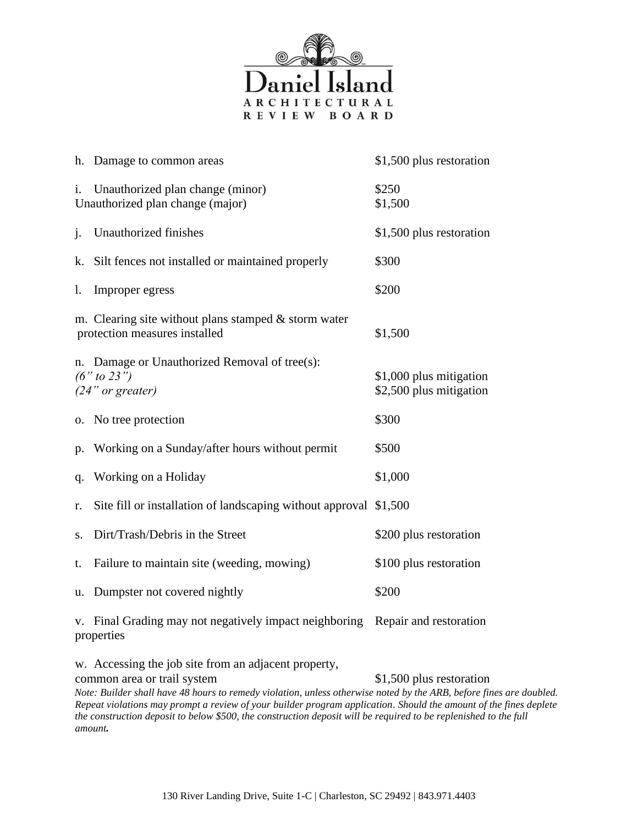

|    | h. Damage to common areas                                                               | \$1,500 plus restoration                           |
|----|-----------------------------------------------------------------------------------------|----------------------------------------------------|
|    | i. Unauthorized plan change (minor)<br>Unauthorized plan change (major)                 | \$250<br>\$1,500                                   |
| j. | Unauthorized finishes                                                                   | \$1,500 plus restoration                           |
| k. | Silt fences not installed or maintained properly                                        | \$300                                              |
| 1. | Improper egress                                                                         | \$200                                              |
|    | m. Clearing site without plans stamped $&$ storm water<br>protection measures installed | \$1,500                                            |
|    | n. Damage or Unauthorized Removal of tree(s):<br>$(6"$ to 23")<br>$(24"$ or greater)    | \$1,000 plus mitigation<br>\$2,500 plus mitigation |
|    | o. No tree protection                                                                   | \$300                                              |
| p. | Working on a Sunday/after hours without permit                                          | \$500                                              |
| q. | Working on a Holiday                                                                    | \$1,000                                            |
| r. | Site fill or installation of landscaping without approval \$1,500                       |                                                    |
| S. | Dirt/Trash/Debris in the Street                                                         | \$200 plus restoration                             |
| t. | Failure to maintain site (weeding, mowing)                                              | \$100 plus restoration                             |
|    | u. Dumpster not covered nightly                                                         | \$200                                              |
|    | v. Final Grading may not negatively impact neighboring<br>properties                    | Repair and restoration                             |
|    | w. Accessing the job site from an adjacent property,                                    |                                                    |

common area or trail system \$1,500 plus restoration *Note: Builder shall have 48 hours to remedy violation, unless otherwise noted by the ARB, before fines are doubled. Repeat violations may prompt a review of your builder program application*. *Should the amount of the fines deplete the construction deposit to below \$500, the construction deposit will be required to be replenished to the full amount.*